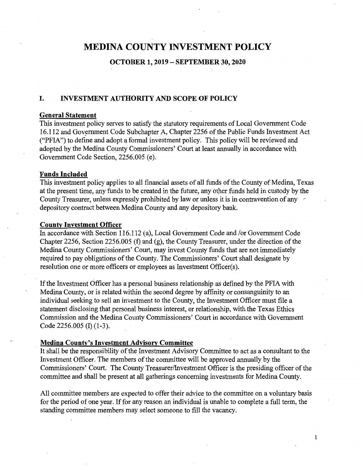# **MEDINA COUNTY INVESTMENT POLICY**

#### **OCTOBER 1, 2019 - SEPTEMBER 30, 2020**

### **I. INVESTMENT AUTHORITY AND SCOPE OF POLICY**

#### **General Statement**

This investment policy serves to satisfy the statutory requirements of Local Government Code 16.112 and Government Code Subchapter A, Chapter 2256 of the Public Funds Investment Act ("PFIA") to define and adopt a formal investment policy. This policy will be reviewed and adopted by the Medina County Commissioners' Court at least annually in accordance with Government Code Section, 2256.005 (e).

#### **Funds Included**

This investment policy applies to all financial assets of all funds of the County of Medina, Texas at the present time, any funds to be created in the future, any other funds held in custody by the County Treasurer, unless expressly prohibited by law or unless it is in-contravention of any depository contract between Medina County and any depository bank.

#### **County Investment Officer**

In accordance with Section 116.112 (a), Local Government Code and /or Government Code Chapter 2256, Section 2256.005 (f) and (g), the County Treasurer, under the direction of the Medina County Commissioners' Court, may invest County funds that are not immediately required to pay obligations of the County. The Commissioners' Court shall designate by resolution one or more officers or employees as Investment Officer(s).

If the Investment Officer has a personal business relationship as defined by the PFIA with Medina County, or is related within the second degree by affinity or consanguinity to an individual seeking to sell an investment to the County, the Investment Officer must file a statement disclosing that personal business interest, or relationship, with the Texas Ethics Commission and the Medina County Commissioners' Court in accordance with Government Code 2256.005 (I) (1-3).

#### **Medina County's Investment Advisory Committee**

It shall be the responsibility of the Investment Advisory Committee to act as a consultant to the Investment Officer. The members of the committee will be approved annually by the Commissioners' Court. The County Treasurer/Investment Officer is the presiding officer of the committee and shall be present at all gatherings concerning investments for Medina County.

All committee members are expected to offer their advice to the committee on a voluntary basis for the period of one year. If for any reason an individual is unable to complete a full term, the standing committee members may select someone to fill the vacancy.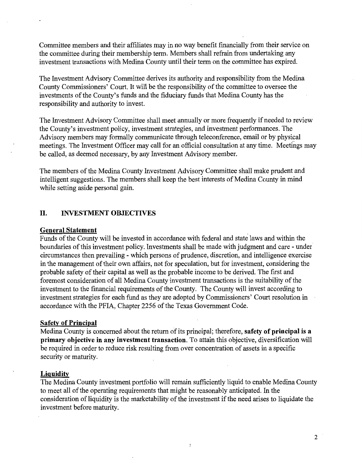Committee members and their affiliates may in no way benefit financially from their service on the committee during their membership term. Members shall refrain from undertaking any investment transactions with Medina County until their term on the committee has expired.

The Investment Advisory Committee derives its authority and responsibility from the Medina County Commissioners' Court. It will be the responsibility of the committee to oversee the investments of the County's funds and the fiduciary funds that Medina County has the responsibility and authority to invest.

The Investment Advisory Committee shall meet annually or more frequently if needed to review the County's investment policy, investment strategies, and investment performances. The Advisory members may formally communicate through teleconference, email or by physical meetings. The Investment Officer may call for an official consultation at any time. Meetings may be called, as deemed necessary, by any Investment Advisory member.

The members of the Medina County Investment Advisory Committee shall make prudent and intelligent suggestions. The members shall keep the best interests of Medina County in mind while setting aside personal gain.

### **II. INVESTMENT OBJECTIVES**

#### **General Statement**

Funds of the County will be invested in accordance with federal and state laws and within the boundaries of this investment policy. Investments shall be made with judgment and care - under circumstances then prevailing - which persons of prudence, discretion, and intelligence exercise in the management of their own affairs, not for speculation, but for investment, considering the probable safety of their capital as well as the probable income to be derived. The first and foremost consideration of all Medina County investment transactions is the suitability of the investment to the financial requirements of the County. The County will invest according to investment strategies for each fund as they are adopted by Commissioners' Court resolution in accordance with the PFIA, Chapter 2256 of the Texas Government Code.

#### **Safety of Principal**

Medina County is concerned about the return of its principal; therefore, **safety of principal is a primary objective in any investment transaction.** To attain this objective, diversification will be required in order to reduce risk resulting from over concentration of assets in a specific security or maturity.

#### **Liquidity**

The Medina County investment portfolio will remain sufficiently liquid to enable Medina County to meet all of the operating requirements that might be reasonably anticipated. In the consideration of liquidity is the marketability of the investment if the need arises to liquidate the investment before maturity.

 $\mathcal{I}$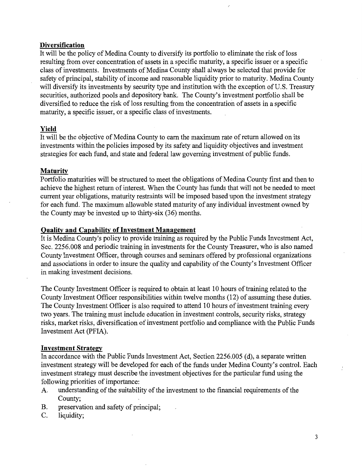#### **Diversification**

It will be the policy of Medina County to diversify its portfolio to eliminate the risk of loss resulting from over concentration of assets in a specific maturity, a specific issuer or a specific class of investments. Investments of Medina County shall always be selected that provide for safety of principal, stability of income and reasonable liquidity prior to maturity. Medina County will diversify its investments by security type and institution with the exception of U.S. Treasury securities, authorized pools and depository bank. The County's investment portfolio shall be diversified to reduce the risk of loss resulting from the concentration of assets in a specific maturity, a specific issuer, or a specific class of investments.

#### **Yield**

It will be the objective of Medina County to earn the maximum rate of return allowed on its investments within the policies imposed by its safety and liquidity objectives and investment strategies for each fund, and state and federal law governing investment of public funds.

#### **Maturity**

Portfolio maturities will be structured to meet the obligations of Medina County first and then to achieve the highest return of interest. When the County has funds that will not be needed to meet current year obligations, maturity restraints will be imposed based upon the investment strategy for each fund. The maximum allowable stated maturity of any individual investment owned by the County may be invested up to thirty-six (36) months.

#### **Quality and Capability of Investment Management**

It is Medina County's policy to provide training as required by the Public Funds Investment Act, Sec. 2256.008 and periodic training in investments for the County Treasurer, who is also named County Investment Officer, through courses and seminars offered by professional organizations and associations in order to insure the quality and capability of the County's Investment Officer in making investment decisions.

The County Investment Officer is required to obtain at least 10 hours of training related to the County Investment Officer responsibilities within twelve months (12) of assuming these duties. The County Investment Officer is also required to attend 10 hours of investment training every two years. The training must include education in investment controls, security risks, strategy risks, market risks, diversification of investment portfolio and compliance with the Public Funds Investment Act (PFIA).

#### **Investment Strategy**

In accordance with the Public Funds Investment Act, Section 2256.005 (d), a separate written investment strategy will be developed for each of the funds under Medina County's control. Each investment strategy must describe the investment objectives for the particular fund using the following priorities of importance:

- A. understanding of the suitability of the investment to the financial requirements of the County;
- B. preservation and safety of principal;
- C. liquidity;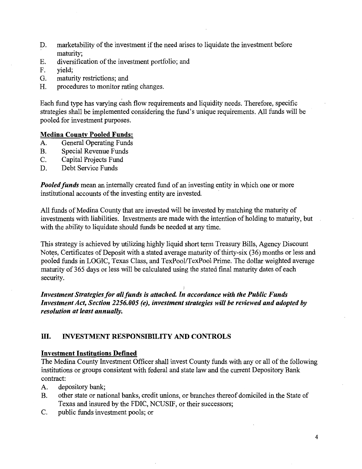- D. marketability of the investment if the need arises to liquidate the investment before maturity;
- E. diversification of the investment portfolio; and
- F. yield;
- G. maturity restrictions; and
- H. procedures to monitor rating changes.

Each fund type has varying cash flow requirements and liquidity needs. Therefore, specific strategies shall be implemented considering the fund's unique requirements. All funds will be pooled for investment purposes.

#### **Medina County Pooled Funds:**

- A. General Operating Funds
- B. Special Revenue Funds
- C. Capital Projects Fund
- D. Debt Service Funds

**Pooled funds** mean an internally created fund of an investing entity in which one or more institutional accounts of the investing entity are invested.

All funds of Medina County that are invested will be invested by matching the maturity of investments with liabilities. Investments are made with the intention of holding to maturity, but with the ability to liquidate should funds be needed at any time.

This strategy is achieved by utilizing highly liquid short term Treasury Bills, Agency Discount Notes, Certificates of Deposit with a stated average maturity of thirty-six (36) months or less and ) pooled funds in LOGIC, Texas Class, and TexPool/TexPool Prime. The dollar weighted average maturity of 365 days or less will be calculated using the stated final maturity dates of each security.

*Investment Strategies for all funds is attached. In accordance with the Public Funds Investment Act, Section 2256.005 (e), investment strategies will be reviewed and adopted by resolution at least annually.* 

### III. **INVESTMENT RESPONSIBILITY AND CONTROLS**

### **Investment Institutions Defined**

The Medina County Investment Officer shall invest County funds with any or all of the following institutions or groups consistent with federal and state law and the current Depository Bank contract:

- A. depository bank;
- B. other state or national banks, credit unions, or branches thereof domiciled in the State of Texas and insured by the FDIC, NCUSIF, or their successors;
- C. public funds investment pools; or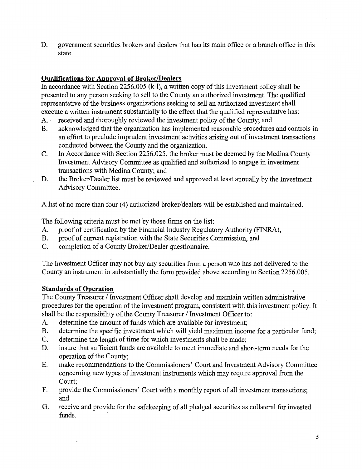D. government securities brokers and dealers that has its main office or a branch office in this state.

# **Qualifications for Approval of Broker/Dealers**

In accordance with Section 2256.005 (k-1), a written copy of this investment policy shall be presented to any person seeking to sell to the County an authorized investment. The qualified representative of the business organizations seeking to sell an authorized investment shall execute a written instrument substantially to the effect that the qualified representative has:

- A. · received and thoroughly reviewed the investment policy of the County; and
- B. acknowledged that the organization has implemented reasonable procedures and controls in an effort to preclude imprudent investment activities arising out of investment transactions conducted between the County and the organization.
- C. In Accordance with Section 2256.025, the broker must be deemed by the Medina County Investment Advisory Committee as qualified and authorized to engage in investment transactions with Medina County; and
- D. the Broker/Dealer list must be reviewed and approved at least annually by the Investment Advisory Committee.

A list of no more than four (4) authorized broker/dealers will be established and maintained.

The following criteria must be met by those firms on the list:

- A. proof of certification by the Financial Industry Regulatory Authority (FINRA),
- B. proof of current registration with the State Securities Commission, and
- C. completion of a County Broker/Dealer questionnaire.

The Investment Officer may not buy any securities from a person who has not delivered to the County an instrument in substantially the form provided above according to Section 2256.005.

# **Standards of Operation**

The County Treasurer / Investment Officer shall develop and maintain written administrative procedures for the operation of the investment program, consistent with this investment policy. It shall be the responsibility of the County Treasurer / Investment Officer to:

- A. determine the amount of funds which are available for investment;
- B. determine the specific investment which will yield maximum income for a particular fund;
- C. determine the length of time for which investments shall be made;
- D. insure that sufficient funds are available to meet immediate and short-term needs for the operation of the County;
- E. make recommendations to the Commissioners' Court and Investment Advisory Committee concerning new types of investment instruments which may require approval from the Court;
- F. provide the Commissioners' Court with a monthly report of all investment transactions; and
- G. receive and provide for the safekeeping of all pledged securities as collateral for invested funds.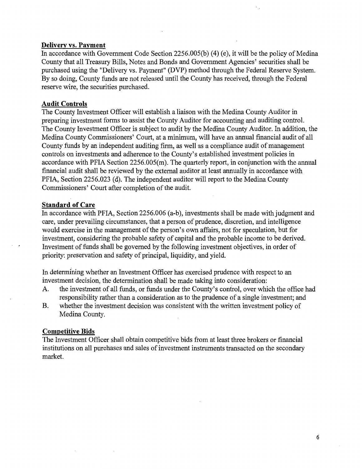#### **Delivery vs. Payment**

In accordance with Government Code Section 2256.005(b) (4) (e), it will be the policy of Medina County that all Treasury Bills, Notes and Bonds and Government Agencies' securities shall be purchased using the "Delivery vs. Payment" (DVP) method through the Federal Reserve System. By so doing, County funds are not released until the County has received, through the Federal reserve wire, the securities purchased.

#### **Audit Controls**

The County Investment Officer will establish a liaison with the Medina County Auditor in preparing investment forms to assist the County Auditor for accounting and auditing control. The County Investment Officer is subject to audit by the Medina County Auditor. In addition, the Medina County Commissioners' Court, at a minimum, will have an annual financial audit of all County funds by an independent auditing firm, as well as a compliance audit of management controls on investments and adherence to the County's established investment policies in accordance with PFIA Section 2256.005(m). The quarterly report, in conjunction with the annual financial audit shall be reviewed by the external auditor at least annually in accordance with PFIA, Section 2256.023 (d). The independent auditor will report to the Medina County Commissioners' Court after completion of the audit.

#### **Standard of Care**

In accordance with PFIA, Section 2256.006 (a-b), investments shall be made with judgment and care, under prevailing circumstances, that a person of prudence, discretion, and intelligence would exercise in the management of the person's own affairs, not for speculation, but for investment, considering the probable safety of capital and the probable income to be derived. Investment of funds shall be governed by the following investment objectives, in order of priority: preservation and safety of principal, liquidity, and yield.

In determining whether an Investment Officer has exercised prudence with respect to an investment decision, the determination shall be made taking into consideration:

- A. the investment of all funds, or funds under the County's control, over which the office had responsibility rather than a consideration as to the prudence of a single investment; and
- B. whether the investment decision was consistent with the written investment policy of Medina County.

#### **Competitive Bids**

The Investment Officer shall obtain competitive bids from at least three brokers or financial institutions on all purchases and sales of investment instruments transacted on the secondary market.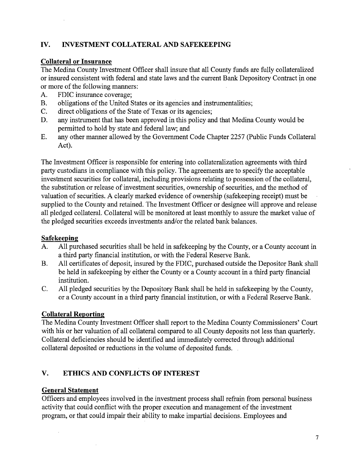# **IV. INVESTMENT COLLATERAL AND SAFEKEEPING**

### **Collateral or Insurance**

The Medina County Investment Officer shall insure that all County funds are fully collateralized or insured consistent with federal and state laws and the current Bank Depository Contract in one or more of the following manners:

- A. FDIC insurance coverage;
- B. obligations of the United States or its agencies and instrumentalities;
- C. direct obligations of the State of Texas or its agencies;
- D. any instrument that has been approved in this policy and that Medina County would be permitted to hold by state and federal law; and
- E. any other manner allowed by the Government Code Chapter 2257 (Public Funds Collateral Act).

The Investment Officer is responsible for entering into collateralization agreements with third party custodians in compliance with this policy. The agreements are to specify the acceptable investment securities for collateral, including provisions relating to possession of the collateral, the substitution or release of investment securities, ownership of securities, and the method of valuation of securities. A clearly marked evidence of ownership (safekeeping receipt) must be supplied to the County and retained. The Investment Officer or designee will approve and release all pledged collateral. Collateral will be monitored at least monthly to assure the market value of the pledged securities exceeds investments and/or the related bank balances.

# **Safekeeping**

- A. All purchased securities shall be held in safekeeping by the County, or a County account in a third party financial institution, or with the Federal Reserve Bank.
- B. All certificates of deposit, insured by the FDIC, purchased outside the Depositor Bank shall be held in safekeeping by either the County or a County account in a third party financial institution.
- C. All pledged securities by the Depository Bank shall be held in safekeeping by the County, or a County account in a third party financial institution, or with a Federal Reserve Bank.

# **Collateral Reporting**

The Medina County Investment Officer shall report to the Medina County Commissioners' Court with his or her valuation of all collateral compared to all County deposits not less than quarterly. Collateral deficiencies should be identified and immediately corrected through additional collateral deposited or reductions in the volume of deposited funds. .

# **V. ETHICS AND CONFLICTS OF INTEREST**

# **General Statement**

 $\mathcal{L}$ 

Officers and employees involved in the investment process shall refrain from personal business activity that could conflict with the proper execution and management of the investment program, or that could impair their ability to make impartial decisions. Employees and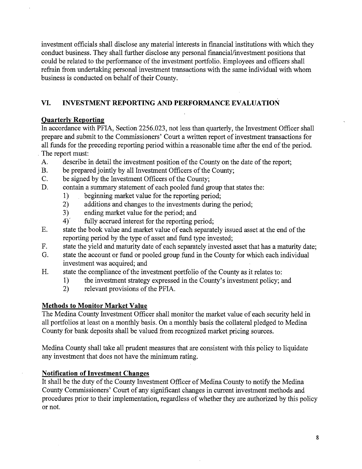investment officials shall disclose any material interests in financial institutions with which they conduct business. They shall further disclose any personal financial/investment positions that could be related to the performance of the investment portfolio. Employees and officers shall refrain from undertaking personal investment transactions with the same individual with whom business is conducted on behalf of their County.

# **VI. INVESTMENT REPORTING AND PERFORMANCE EVALUATION**

# **Quarterly Reporting**

In accordance with PFIA, Section 2256.023, not less than quarterly, the Investment Officer shall prepare and submit to the Commissioners' Court a written report of investment transactions for all funds for the preceding reporting period within a reasonable time after the end of the period . . The report must:

- A. describe in detail the investment position of the County on the date of the report;
- B. be prepared jointly by all Investment Officers of the County;
- C. be signed by the Investment Officers of the County;
- D. contain a summary statement of each pooled fund group that states the:
	- 1) beginning market value for the reporting period;
	- 2) additions and changes to the investments during the period;
	- 3) ending market value for the period; and
	- 4) fully accrued interest for the reporting period;
- E. state the book value and market value of each separately issued asset at the end of the reporting period by the type of asset and fund type invested;
- F. state the yield and maturity date of each separately invested asset that has a maturity date;
- G. state the account or fund or pooled group fund in the County for which each individual investment was acquired; and
- H. state the compliance of the investment portfolio of the County as it relates to:
	- 1) the investment strategy expressed in the County's investment policy; and
	- 2) relevant provisions of the PFIA.

# **Methods to Monitor Market Value**

The Medina County Investment Officer shall monitor the market value of each security held in all portfolios at least on a monthly basis. On a monthly basis the collateral pledged to Medina County for bank deposits shall be valued from recognized market pricing sources.

Medina County shall take all prudent measures that are consistent with this policy to liquidate any investment that does not have the minimum rating.

# **Notification of Investment Changes**

It shall be the duty of the County Investment Officer of Medina County to notify the Medina County Commissioners' Court of any significant changes in current investment methods and procedures prior to their implementation, regardless of whether they are authorized by this policy or not.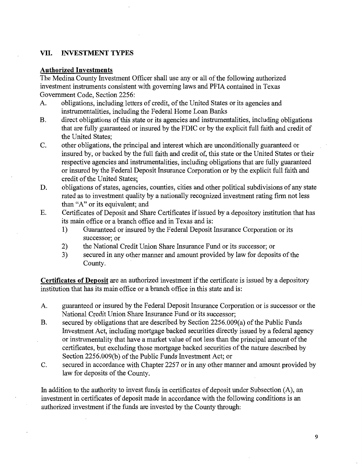### **VII. INVESTMENT TYPES**

#### **Authorized Investments**

The Medina County Investment Officer shall use any or all of the following authorized investment instruments consistent with governing laws and PFIA contained in Texas Government Code, Section 2256:

- A. obligations, including letters of credit, of the United States or its agencies and instrumentalities, including the Federal Home Loan Banks
- B. direct obligations of this state or its agencies and instrumentalities, including obligations that are fully guaranteed or insured by the FDIC or by the explicit full faith and credit of the United States;
- C. other obligations, the principal and interest which are unconditionally guaranteed or insured by, or backed by the full faith and credit of, this state or the United States or their respective agencies and instrumentalities, including obligations that are fully guaranteed or insured by the Federal Deposit Insurance Corporation or by the explicit full faith and credit of the United States;
- D. obligations of states, agencies, counties, cities and other political subdivisions of any state rated as to investment quality by a nationally recognized investment rating firm not less than "A" or its equivalent; and
- E. Certificates of Deposit and Share Certificates if issued by a depository institution that has its main office or a branch office and in Texas and is:
	- 1) Guaranteed or insured by the Federal Deposit Insurance Corporation or its successor; or
	- 2) the National Credit Union Share Insurance Fund or its successor; or
	- 3) secured in any other manner and amount provided by law for deposits of the County.

**Certificates of Deposit** are an authorized investment if the certificate is issued by a depository institution that has its main office or a branch office in this state and is:

- A. guaranteed or insured by the Federal Deposit Insurance Corporation or is successor or the National Credit Union Share Insurance Fund or its successor;
- B. secured by obligations that are described by Section 2256.009(a) of the Public Funds Investment Act, including mortgage backed securities directly issued by a federal agency or instrumentality that have a market value of not less than the principal amount of the certificates, but excluding those mortgage backed securities of the nature described by Section 2256.009(b) of the Public Funds Investment Act; or
- C. secured in accordance with Chapter 2257 or in any other manner and amount provided by law for deposits of the County.

In addition to the authority to invest funds in certificates of deposit under Subsection (A), an investment in certificates of deposit made in accordance with the following conditions is an authorized investment if the funds are invested by the County through: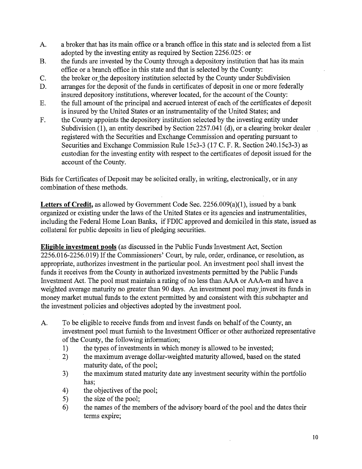- A. a broker that has its main office or a branch office in this state and is selected from a list adopted by the investing entity as required by Section 2256.025: or
- B. the funds are invested by the County through a depository institution that has its main office or a branch office in this state and that is selected by the County:
- C. the broker or\_the depository institution selected by the County under Subdivision
- D. arranges for the deposit of the funds in certificates of deposit in one or more federally insured depository institutions, wherever located, for the account of the County:
- E. the full amount of the principal and accrued interest of each of the certificates of deposit is insured by the United States or an instrumentality of the United States; and
- F. the County appoints the depository institution selected by the investing entity under Subdivision (1), an entity described by Section 2257.041 (d), or a clearing broker dealer registered with the Securities and Exchange Commission and operating pursuant to Securities and Exchange Commission Rule 15c3-3 (17 C. F. R. Section 240.15c3-3) as custodian for the investing entity with respect to the certificates of deposit issued for the account of the County.

Bids for Certificates of Deposit may be solicited orally, in writing, electronically, or in any combination of these methods.

Letters of Credit, as allowed by Government Code Sec. 2256.009(a)(1), issued by a bank organized or existing under the laws of the United States or its agencies and instrumentalities, including the Federal Home Loan Banks, if FDIC approved and domiciled in this state, issued as collateral for public deposits in lieu of pledging securities.

**Eligible investment pools** (as discussed in the Public Funds'lnvestment Act, Section 2256.016-2256.019) If the Commissioners' Court, by rule, order, ordinance, or resolution, as appropriate, authorizes investment in the particular pool. An investment pool shall invest the funds it receives from the County in authorized investments permitted by the Public Funds Investment Act. The pool must maintain a rating of no less than AAA or AAA-m and have a weighted average maturity no greater than 90 days. An investment pool may invest its funds in money market mutual funds to the extent permitted by and consistent with this subchapter and the investment policies and objectives adopted by the investment pool.

- A. To be eligible to receive funds from and invest funds on behalf of the County, an investment pool must furnish to the Investment Officer or other authorized representative of the County, the following information;
	- 1) the types of investments in which money is allowed to be invested;
	- 2) the maximum average dollar-weighted maturity allowed, based on the stated maturity date, of the pool;
	- 3) the maximum stated maturity date any investment security within the portfolio has;
	- 4) the objectives of the pool;
	- 5) the size of the pool;

 $\ddot{\phantom{a}}$ 

6) the names of the members of the advisory board of the pool and the dates their terms expire;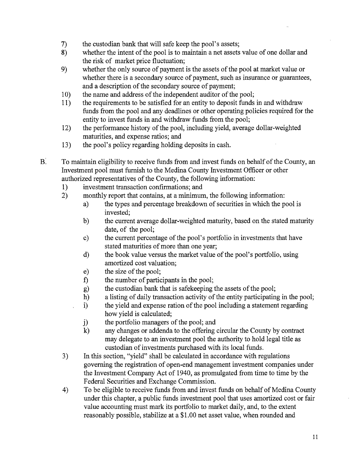- 7) the custodian bank that will safe keep the pool's assets;
- 8) whether the intent of the pool is to maintain a net assets value of one dollar and the risk of market price fluctuation;
- 9) whether the only source of payment is the assets of the pool at market value or whether there is a secondary source of payment, such as insurance or guarantees, and a description of the secondary source of payment;
- 10) the name and address of the independent auditor of the pool;
- 11) the requirements to be satisfied for an entity to deposit funds in and withdraw funds from the pool and any deadlines or other operating policies required for the entity to invest funds in and withdraw funds from the pool;
- 12) the performance history of the pool, including yield, average dollar-weighted maturities, and expense ratios; and
- 13) the pool's policy regarding holding deposits in cash.
- B: To maintain eligibility to receive funds from and invest funds on behalf of the County, an Investment pool must furnish to the Medina County Investment Officer or other authorized representatives of the County, the following information:
	- 1) investment transaction confirmations; and
	- 2) monthly report that contains, at a minimum, the following information:
		- a) the types and percentage breakdown of securities in which the pool is invested;
		- b) the current average dollar-weighted maturity, based on the stated maturity date, of the pool;
		- c) the current percentage of the pool's portfolio in investments that have stated maturities of more than one year;
		- d) the book value versus the market value of the pool's portfolio, using amortized cost valuation;
		- e) the size of the pool;
		- f) the number of participants in the pool;
		- g) the custodian bank that is safekeeping the assets of the pool;
		- h) a listing of daily transaction activity of the entity participating in the pool;
		- i) the yield and expense ration of the pool including a statement regarding how yield is calculated;
		- j) the portfolio managers of the pool; and
		- k) any changes or addenda to the offering circular the County by contract may delegate to an investment pool the authority to hold legal title as custodian of investments purchased with its local funds.
	- 3) In this section, "yield" shall be calculated in accordance with regulations governing the registration of open-end management investment companies under the Investment Company Act of 1940, as promulgated from time to time by the Federal Securities and Exchange Commission.
	- 4) To be eligible to receive funds from and invest funds on behalf of Medina County under this chapter, a public funds investment pool that uses amortized cost or fair value accounting must mark its portfolio to market daily, and, to the extent reasonably possible, stabilize at a \$1.00 net asset value, when rounded and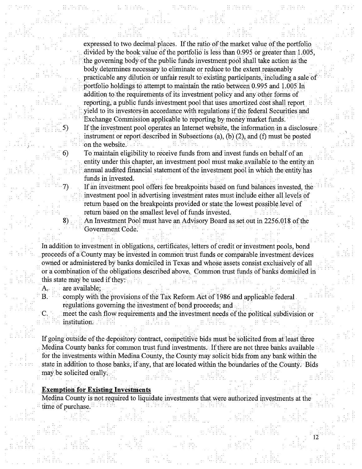expressed to two decimal places. If the ratio of the market value of the portfolio divided by the book value of the portfolio is less than 0.995 or greater than 1.005, the governing body of the public funds investment pool shall take action as the body determines necessary to eliminate or reduce to the extent reasonably practicable any dilution or unfair result to existing participants, including a sale of portfolio holdings to attempt to maintain the ratio between 0.995 and 1.005 In addition to the requirements of its investment policy and any other forms of reporting; a public funds investment pool that uses amortized cost shall report yield to its investors-in accordance with regulations if the federal Securities and Exchange Commission applicable to reporting by money market funds. If the investment pool operates an Internet website, the information in a disclosure. instrument or report described in Subsections (a), (b)  $(2)$ , and (f) must be posted on the website.

6) To maintain eligibility to receive funds from and invest funds on behalf of an entity under this chapter, an investment pool must make available to the entity an annual audited financial statement of the investment pool in which the entity has funds in invested.

If an investment pool offers fee breakpoints based on fund balances invested, the investment pool in advertising investment rates must include either all levels of return based on the breakpoints provided or state the lowest possible level of return based on the smallest level of funds invested.

An Investment Pool must have an Advisory Board as set out in 2256.018 of the Government Code.

In addition to investment in obligations, certificates, letters of credit or investment pools, bond proceeds of a County may be invested in common trust funds or comparable investment devices owned or administered by banks domiciled in Texas and whose assets consist exclusively of all or a combination of the obligations described above. Common trust funds of banks domiciled in this state may be used if they:

A. are available;

. . *j* ..

B. •• comply with the provisions of the Tax Reform Act of 1986 and applicable federal regulations governing the investment of bond proceeds; and

C. meet the cash flow requirements and the investment needs of the political subdivision or · -· - : • -· \_ institution. . · · ·

If going outside of the depository contract, competitive bids must be solicited from at least three Medina County banks for common trust fund investments. If there are not three banks available for the investments within Medina County, the County may solicit bids from any bank within the state in addition to those banks, if any, that are located within the boundaries of the County. Bids may be solicited orally.

**Exemption for Existing Investments** 

Medina County is not required to liquidate investments that were authorized investments at the time of purchase.

 $\frac{1}{2}$ 

- . l .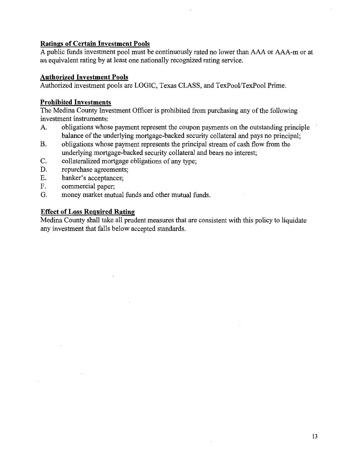### **Ratings of Certain Investment Pools**

A public funds investment pool must be continuously rated no lower than AAA or AAA-m or at an equivalent rating by at least one nationally recognized rating service.

### **Authorized Investment Pools**

Authorized investment pools are LOGIC, Texas CLASS, and TexPool/TexPool Prime.

### **Prohibited Investments**

The Medina County Investment Officer is prohibited from purchasing any of the following investment instruments:

- A. obligations whose payment represent the coupon payments on the outstanding principle balance of the underlying mortgage-backed security collateral and pays no principal;
- B. obligations whose payment represents the principal stream of cash flow from the underlying mortgage-backed security collateral and bears no interest;
- C. collateralized mortgage obligations of any type;
- D. repurchase agreements;
- E. banker's acceptances;
- F. commercial paper;
- G. money market mutual funds and other mutual funds.

# **Effect of Loss Required Rating**

Medina County shall take all prudent measures that are consistent with this policy to liquidate any investment that falls below accepted standards.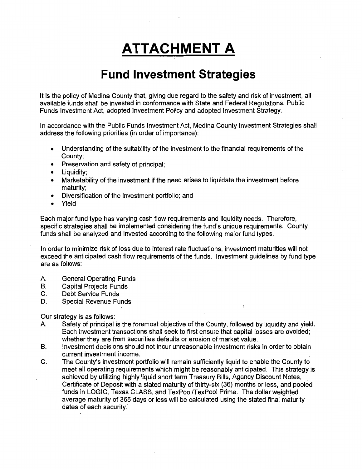# **ATTACHMENT A**

# **Fund Investment Strategies**

It is the policy of Medina County that, giving due regard to the safety and risk of investment, all available funds shall be invested in conformance with State and Federal Regulations, Public Funds Investment Act, adopted Investment Policy and adopted Investment Strategy.

In accordance with the Public Funds Investment Act, Medina County Investment Strategies shall address the following priorities (in order of importance):

- Understanding of the suitability of the investment to the financial requirements of the County;
- Preservation and safety of principal;
- Liquidity;
- Marketability of the investment if the need arises to liquidate the investment before maturity;
- Diversification of the investment portfolio; and
- Yield

Each major fund type has varying cash flow requirements and liquidity needs. Therefore, specific strategies shall be implemented considering the fund's unique requirements. County funds shall be analyzed and invested according to the following major fund types.

In order to minimize risk of loss due to interest rate fluctuations, investment maturities will not exceed the anticipated cash flow requirements of the funds. Investment guidelines by fund type are as follows:

- A. General Operating Funds
- B. Capital Projects Funds
- C. Debt Service Funds
- D. Special Revenue Funds

Our strategy is as follows:

- A Safety of principal is the foremost objective of the County, followed by liquidity and yield. Each investment transactions shall seek to first ensure that capital losses are avoided; whether they are from securities defaults or erosion of market value.
- B. Investment decisions should not incur unreasonable investment risks in order to obtain current investment income.
- C. The County's investment portfolio will remain sufficiently liquid to enable the County to meet all operating requirements which might be reasonably anticipated. This strategy is achieved by utilizing highly liquid short term Treasury Bills, Agency Discount Notes, Certificate of Deposit with a stated maturity of thirty-six (36) months or less, and pooled funds in LOGIC, Texas CLASS, and TexPool/TexPool Prime. The dollar weighted average maturity of 365 days or less will be calculated using the stated final maturity dates of each security.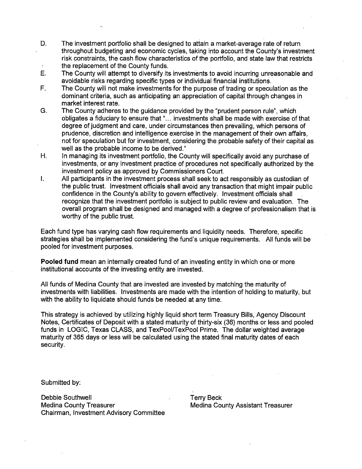- D. The investment portfolio shall be designed to attain a market-average rate of return throughout budgeting and economic cycles, taking into account the County's investment risk constraints, the cash flow characteristics of the portfolio, and state law that restricts the replacement of the County funds.
- E. The County will attempt to diversify its investments to avoid incurring unreasonable and avoidable risks regarding specific types or individual financial institutions.
- F. The County will not make investments for the purpose of trading or speculation as the dominant criteria, such as anticipating an appreciation of capital through changes in market interest rate.
- G. The County adheres to the guidance provided by the "prudent person rule", which obligates a fiduciary to ensure that "... investments shall be made with exercise of that degree of judgment and care, under circumstances then prevailing, which persons of prudence, discretion and intelligence exercise in the management of their own affairs, not for speculation but for investment, considering the probable safety of their capital as well as the probable income to be derived."
- H. In managing its investment portfolio, the County will specifically avoid any purchase of investments, or any investment practice of procedures not specifically authorized by the investment policy as approved by Commissioners Court.
- I. All participants in the investment process shall seek to act responsibly as custodian of the public trust. Investment officials shall avoid any transaction that might impair public confidence in the County's ability to govern effectively. Investment officials shall recognize that the investment portfolio is subject to public review and evaluation. The overall program shall be designed and managed with a degree of professionalism that is worthy of the public trust.

Each fund type has varying cash flow requirements and liquidity needs. Therefore, specific strategies shall be implemented considering the fund's unique requirements. All funds will be pooled for investment purposes.

**Pooled fund** mean an internally created fund of an investing entity in which one or more institutional accounts of the investing entity are invested.

All funds of Medina County that are invested are invested by matching the maturity of investments with liabilities. Investments are made with the intention of holding to maturity, but with the ability to liquidate should funds be needed at any time.

This strategy is achieved by utilizing highly liquid short term Treasury Bills, Agency Discount Notes, Certificates of Deposit with a stated maturity of thirty-six (36) months or less and pooled funds in LOGIC, Texas CLASS, and TexPool/TexPool Prime. The dollar weighted average maturity of 365 days or less will be calculated using the stated final maturity dates of each security.

Submitted by:

Debbie Southwell **Debbie Southwell** Medina County Treasurer Medina County Assistant Treasurer Chairman, Investment Advisory Committee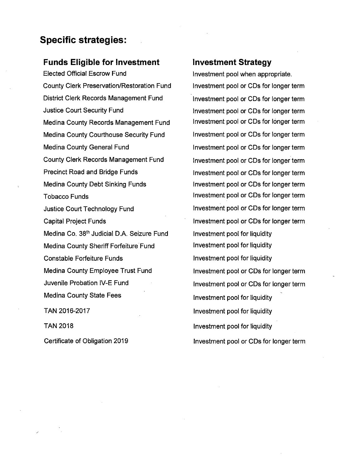# **Specific strategies:**

# **Funds Eligible for Investment**

Elected Official Escrow Fund County Clerk Preservation/Restoration Fund District Clerk Records Management Fund Justice Court Security Fund Medina County Records Management Fund Medina County Courthouse Security Fund Medina County General Fund County Clerk Records Management Fund Precinct Road and Bridge Funds Medina County Debt Sinking Funds Tobacco Funds Justice Court Technology Fund Capital Project Funds Medina Co. 38<sup>th</sup> Judicial D.A. Seizure Fund Medina County Sheriff Forfeiture Fund Constable Forfeiture Funds Medina County Employee Trust Fund Juvenile Probation IV-E Fund Medina County State Fees TAN 2016-2017

TAN 2018

Certificate of Obligation 2019

# **Investment Strategy**

Investment pool when appropriate. Investment pool or CDs for longer term Investment pool or CDs for longer term Investment pool or CDs for longer term Investment pool or CDs for longer term Investment pool or CDs for longer term Investment pool or CDs for longer term Investment pool or CDs for longer term Investment pool or CDs for longer term Investment pool or CDs for longer term Investment pool or CDs for longer term Investment pool or CDs for longer term Investment pool or CDs for longer term Investment pool for liquidity Investment pool for liquidity Investment pool for liquidity Investment pool or CDs for longer term Investment pool or CDs for longer term Investment pool for liquidity Investment pool for liquidity Investment pool for liquidity Investment pool or CDs for longer term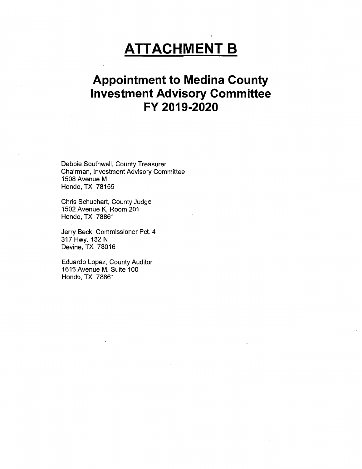# **ATTACHMENT B**

 $\overline{\phantom{a}}$ 

# **Appointment to Medina County Investment Advisory Committee FY 2019-2020**

Debbie Southwell, County Treasurer Chairman, Investment Advisory Committee 1508 Avenue M Hondo, TX 78155

Chris Schuchart, County Judge 1502 Avenue K, Room 201 Hondo, TX 78861

Jerry Beck, Commissioner Pct. 4 317 Hwy. 132 N Devine, TX 78016

Eduardo Lopez, County Auditor 1616 Avenue M, Suite 100 Hondo, TX 78861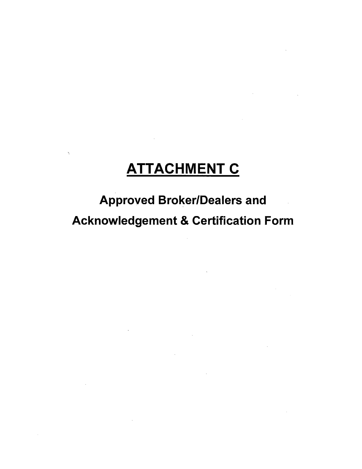# **ATTACHMENT C**

Approved Broker/Dealers and Acknowledgement & Certification Form

 $\sim 10^{-10}$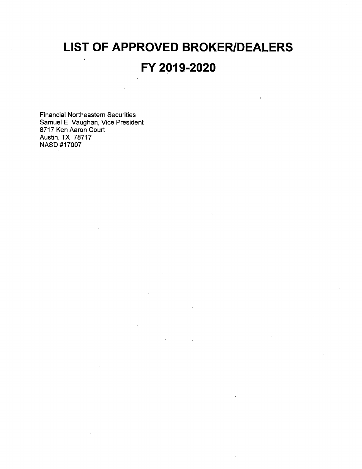# **LIST OF APPROVED BROKER/DEALERS FY 2019-2020**

Financial Northeastern Securities Samuel E. Vaughan, Vice President 8717 Ken Aaron Court Austin, TX 78717 NASO #17007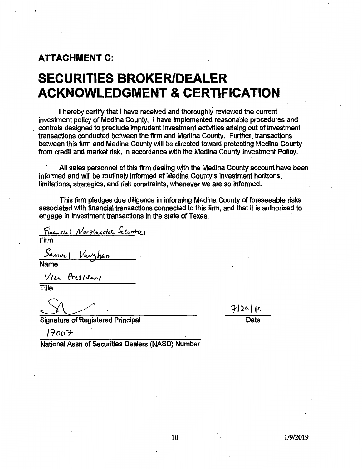# **ATTACHMENT C:**

 $\cdot$ ,

# **SECURITIES BROKER/DEALER ACKNOWLEDGMENT & CERTIFICATION**

I hereby certify that I have received and thoroughly reviewed the current investment policy of Medina County. I have implemented reasonable procedures and controls designed to preclude imprudent investment activities arising out of investment transactions conducted between the firm and Medina County. Further, transactions between this firm and Medina County will be directed toward protecting Medina County from credit and market risk, in accordance with the Medina County Investment Policy.

All sales personnel of this firm dealing with the Medina County account have been informed and will be routinely informed of Medina County's investment horizons, limitations, strategies, and risk constraints, whenever we are so informed.

This firm pledges due diligence in informing Medina County of foreseeable risks associated with financial transactions connected to this firm, and that it is authorized to engage in investment transactions in the state of Texas.

*(* 

Financial Northusster Securitics

Firm

*Sanul Vervahan* Name

 $V$  I  $L$   $R$  Fest , the  $\epsilon$ 

**Title** 

7|24||5

Date

Signature of Registered Principal

*/1oor* 

National Assn of Securities Dealers (NASO) Number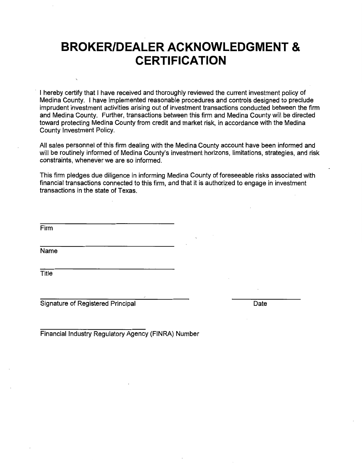# **BROKER/DEALER ACKNOWLEDGMENT** & **CERTIFICATION**

I hereby certify that I have received and thoroughly reviewed the current investment policy of Medina County. I have implemented reasonable procedures and controls designed to preclude imprudent investment activities arising out of investment transactions conducted between the firm and Medina County. Further, transactions between this firm and Medina County will be directed toward protecting Medina County from credit and market risk, in accordance with the Medina County Investment Policy.

All sales personnel of this firm dealing with the Medina County account have been informed and will be routinely informed of Medina County's investment horizons, limitations, strategies, and risk constraints, whenever we are so informed.

This firm pledges due diligence in informing Medina County of foreseeable risks associated with financial transactions connected to this firm, and that it is authorized to engage in investment transactions in the state of Texas. -

Firm

Name

**Title** 

Signature of Registered Principal Date

Financial Industry Regulatory Agency (FINRA) Number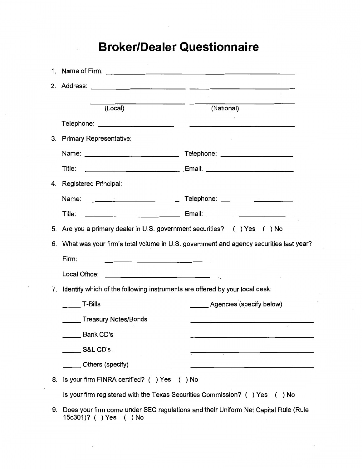# **Broker/Dealer Questionnaire**

|    |                                                                                                                              | $\mathbf{1}$                                                                          |
|----|------------------------------------------------------------------------------------------------------------------------------|---------------------------------------------------------------------------------------|
|    | (Local)                                                                                                                      | (National)                                                                            |
|    |                                                                                                                              |                                                                                       |
|    | 3. Primary Representative:                                                                                                   |                                                                                       |
|    |                                                                                                                              |                                                                                       |
|    | Title:                                                                                                                       |                                                                                       |
|    | 4. Registered Principal:                                                                                                     |                                                                                       |
|    |                                                                                                                              |                                                                                       |
|    | Title:                                                                                                                       |                                                                                       |
|    | 5. Are you a primary dealer in U.S. government securities? () Yes () No                                                      |                                                                                       |
| 6. |                                                                                                                              | What was your firm's total volume in U.S. government and agency securities last year? |
|    | Firm:<br><u> 1980 - Jan James James, politik eta politik eta politik eta politik eta politik eta politik eta politik eta</u> |                                                                                       |
|    | Local Office:                                                                                                                |                                                                                       |
|    | 7. Identify which of the following instruments are offered by your local desk:                                               |                                                                                       |
|    | <b>T-Bills</b>                                                                                                               | Agencies (specify below)                                                              |
|    | Treasury Notes/Bonds                                                                                                         |                                                                                       |
|    | Bank CD's                                                                                                                    |                                                                                       |
|    | S&L CD's                                                                                                                     |                                                                                       |
|    | Others (specify)                                                                                                             |                                                                                       |
| 8. | Is your firm FINRA certified? () Yes () No                                                                                   |                                                                                       |
|    | Is your firm registered with the Texas Securities Commission? () Yes () No                                                   |                                                                                       |
|    |                                                                                                                              |                                                                                       |

9. Does your firm come under SEC regulations and their Uniform Net Capital Rule (Rule 15c301)? ( ) Yes ( ) No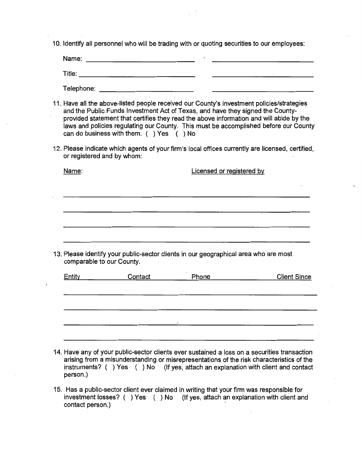10. Identify all personnel who will be trading with or quoting securities to our employees:

| Name:      |        |
|------------|--------|
| Title:     | $\sim$ |
| Telephone: |        |

- 11. Have all the above-listed people received our County's investment policies/strategies and the Public Funds Investment Act of Texas, and have they signed the Countyprovided statement that certifies they read the above information and will abide by the laws and policies regulating our County. This must be accomplished before our County can do business with them. ( ) Yes ( ) No
- 12. Please indicate which agents of your firm's local offices currently are licensed, certified, or registered and by whom:

| Name:                                                                                                             |         | Licensed or registered by |  |                     |  |
|-------------------------------------------------------------------------------------------------------------------|---------|---------------------------|--|---------------------|--|
|                                                                                                                   |         |                           |  |                     |  |
|                                                                                                                   |         |                           |  |                     |  |
|                                                                                                                   |         |                           |  |                     |  |
|                                                                                                                   |         |                           |  |                     |  |
| 13. Please identify your public-sector clients in our geographical area who are most<br>comparable to our County. |         |                           |  |                     |  |
| Entity                                                                                                            | Contact | Phone                     |  | <b>Client Since</b> |  |
|                                                                                                                   |         |                           |  |                     |  |

- 14. Have any of your public-sector clients ever sustained a loss on a securities transaction arising from a misunderstanding or misrepresentations of the risk characteristics of the instruments? ( ) Yes ( ) No (If yes, attach an explanation with client and contact person.)
- 15. Has a public-sector client ever claimed in writing that your firm was responsible for investment losses? ( ) Yes ( ) No (If yes, attach an explanation with client and contact person.)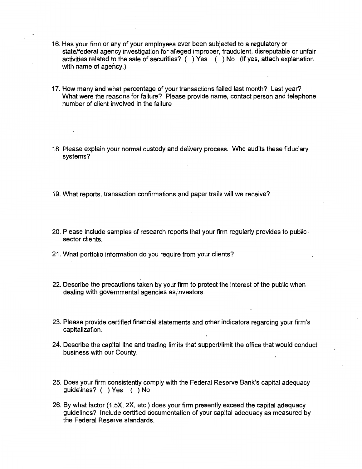- 16. Has your firm or any of your employees ever been subjected to a regulatory or state/federal agency investigation for alleged improper, fraudulent, disreputable or unfair activities related to the sale of securities? ( ) Yes ( ) No (If yes, attach explanation with name of agency.)
- 17. How many and what percentage of your transactions failed last month? Last year? What were the reasons for failure? Please provide name, contact person and telephone number of client involved in the failure
- 18. Please explain your normal custody and delivery process. Who audits these fiduciary systems?
- 19. What reports, transaction confirmations and paper trails will we receive?
- 20. Please include samples of research reports that your firm regularly provides to publicsector clients.
- 21. What portfolio information do you require from your clients?
- 22. Describe the precautions taken by your firm to protect the interest of the public when dealing with governmental agencies as investors.
- 23. Please provide certified financial statements and other indicators regarding your firm's capitalization.
- 24. Describe the capital line and trading limits that support/limit the office that would conduct business with our County.
- 25. Does your firm consistently comply with the Federal Reserve Bank's capital adequacy guidelines? ( ) Yes ( ) No
- 26. By what factor (1.5X, 2X, etc.) does your firm presently exceed'the capital adequacy guidelines? Include certified documentation of your capital adequacy as measured by the Federal Reserve standards.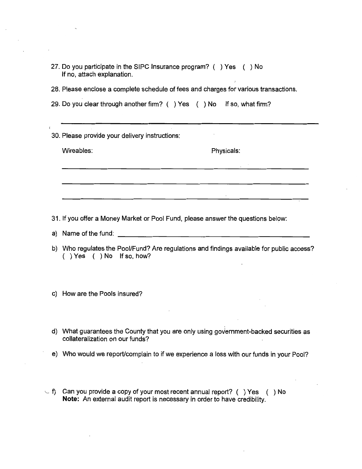- 27. Do you participate in the SIPC Insurance program? ( ) Yes ( ) No If no, attach explanation.
- 28. Please enclose a complete schedule of fees and charges for various transactions.

| 29. Do you clear through another firm? () Yes () No If so, what firm? |  |  |  |
|-----------------------------------------------------------------------|--|--|--|
|-----------------------------------------------------------------------|--|--|--|

30. Please provide your delivery instructions:

Wireables: Physicals:

31. If you offer a Money Market or Pool Fund, please answer the questions below:

<u> 1999 - Johann John Stone, mars et al. (</u>

- a) Name of the fund:  $\blacksquare$
- b) Who regulates the Pool/Fund? Are regulations and findings available for public access? ( ) Yes ( ) No If so, how?
- c) How are the Pools insured?
- d) What guarantees the County that you are only using government-backed securities as collateralization on our funds?
- e) Who would we report/complain to if we experience a loss with our funds in your Pool?
- $-$  f) Can you provide a copy of your most recent annual report? () Yes () No **Note:** An external audit report is necessary in order to have credibility.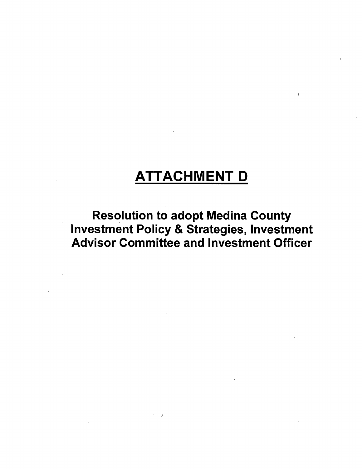# **ATTACHMENT** D

 $\sim$   $\chi$ 

**Resolution to adopt Medina County** Investment Policy & Strategies, Investment Advisor Committee and Investment Officer

 $\rightarrow$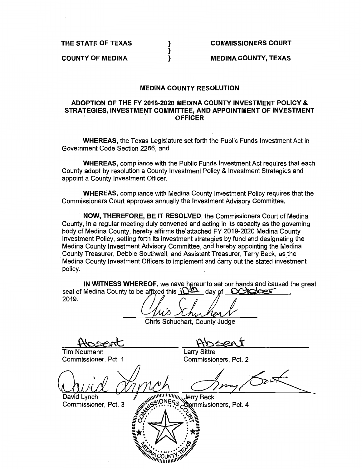**THE STATE OF TEXAS** 

**COUNTY OF MEDINA** 

**COMMISSIONERS COURT** 

**MEDINA COUNTY, TEXAS** 

#### **MEDINA COUNTY RESOLUTION**

} } }

#### **ADOPTION OF THE FY 2019-2020 MEDINA COUNTY INVESTMENT POLICY** & **STRATEGIES, INVESTMENT COMMITTEE, AND APPOINTMENT OF INVESTMENT**  . . **OFFICER**

**WHEREAS,** the Texas Legislature set forth the Public Funds Investment Act in Government Code Section 2256, and

**WHEREAS,** compliance with the Public Funds Investment Act requires that each County adopt by resolution a County Investment Policy & Investment Strategies and appoint a County Investment Officer.

**WHEREAS,** compliance with Medina County Investment Policy requires that the Commissioners Court approves annually the Investment Advisory Committee.

**NOW, THEREFORE, BE IT RESOLVED,** the Commissioners Court of Medina County, in a regular meeting duly convened and acting in its capacity as the governing body of Medina County, hereby affirms the' attached FY 2019-2020 Medina County Investment Policy, setting forth its investment strategies by fund and designating the Medina County Investment Advisory Committee, and hereby appointing the Medina County Treasurer, Debbie Southwell, and Assistant Treasurer, Terry Beck, as the · Medina County Investment Officers to implement and carry out the stated investment policy.

**IN WITNESS WHEREOF,** we have hereunto set our hands and caused the great seal of Medina County to be affixed this  $\frac{\partial \Psi}{\partial q}$  day of CCCCCC

, Chris Schuchart, County Judge Tim Neumann Larry Sittre Commissioner, Pct. 1 Commissioners, Pct. 2 Sext Tyne Contract Beck Commissioners, Pct. 4 David Lynch Commissioner, Pct. 3

COUN *<i>MINIUM*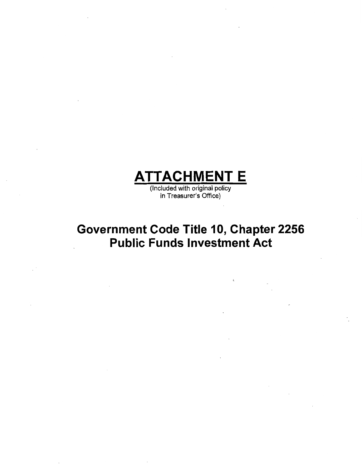

(Included with original policy in Treasurer's Office)

# **Government Code Title 10, Chapter 2256 Public Funds Investment Act**